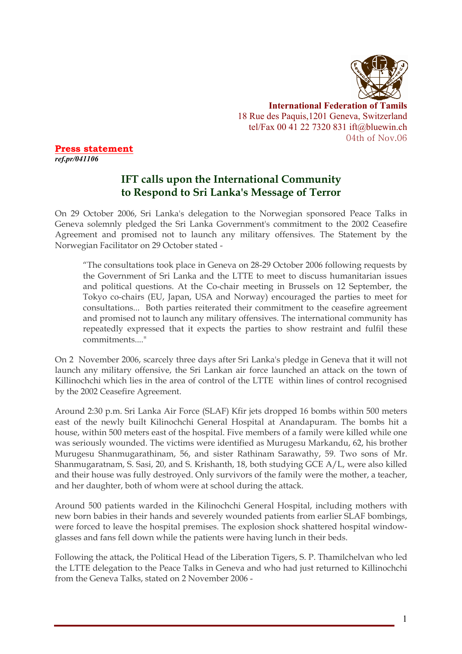

**International Federation of Tamils** 18 Rue des Paquis,1201 Geneva, Switzerland tel/Fax 00 41 22 7320 831 ift@bluewin.ch 04th of Nov.06

**Press statement**  *ref.pr/041106* 

## **IFT calls upon the International Community to Respond to Sri Lanka's Message of Terror**

On 29 October 2006, Sri Lanka's delegation to the Norwegian sponsored Peace Talks in Geneva solemnly pledged the Sri Lanka Government's commitment to the 2002 Ceasefire Agreement and promised not to launch any military offensives. The Statement by the Norwegian Facilitator on 29 October stated -

"The consultations took place in Geneva on 28-29 October 2006 following requests by the Government of Sri Lanka and the LTTE to meet to discuss humanitarian issues and political questions. At the Co-chair meeting in Brussels on 12 September, the Tokyo co-chairs (EU, Japan, USA and Norway) encouraged the parties to meet for consultations... Both parties reiterated their commitment to the ceasefire agreement and promised not to launch any military offensives. The international community has repeatedly expressed that it expects the parties to show restraint and fulfil these commitments...."

On 2 November 2006, scarcely three days after Sri Lanka's pledge in Geneva that it will not launch any military offensive, the Sri Lankan air force launched an attack on the town of Killinochchi which lies in the area of control of the LTTE within lines of control recognised by the 2002 Ceasefire Agreement.

Around 2:30 p.m. Sri Lanka Air Force (SLAF) Kfir jets dropped 16 bombs within 500 meters east of the newly built Kilinochchi General Hospital at Anandapuram. The bombs hit a house, within 500 meters east of the hospital. Five members of a family were killed while one was seriously wounded. The victims were identified as Murugesu Markandu, 62, his brother Murugesu Shanmugarathinam, 56, and sister Rathinam Sarawathy, 59. Two sons of Mr. Shanmugaratnam, S. Sasi, 20, and S. Krishanth, 18, both studying GCE A/L, were also killed and their house was fully destroyed. Only survivors of the family were the mother, a teacher, and her daughter, both of whom were at school during the attack.

Around 500 patients warded in the Kilinochchi General Hospital, including mothers with new born babies in their hands and severely wounded patients from earlier SLAF bombings, were forced to leave the hospital premises. The explosion shock shattered hospital windowglasses and fans fell down while the patients were having lunch in their beds.

Following the attack, the Political Head of the Liberation Tigers, S. P. Thamilchelvan who led the LTTE delegation to the Peace Talks in Geneva and who had just returned to Killinochchi from the Geneva Talks, stated on 2 November 2006 -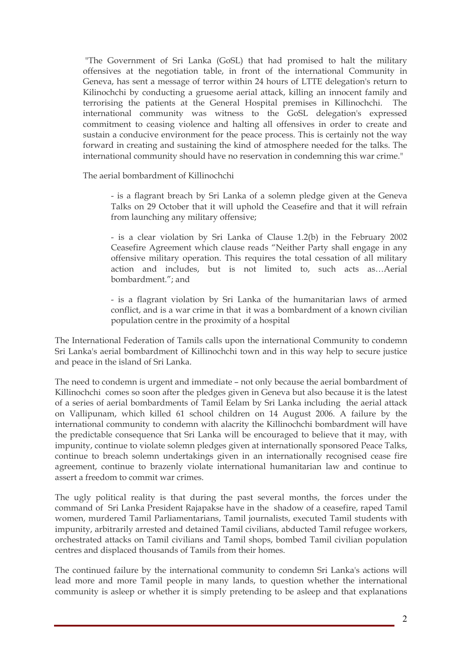"The Government of Sri Lanka (GoSL) that had promised to halt the military offensives at the negotiation table, in front of the international Community in Geneva, has sent a message of terror within 24 hours of LTTE delegation's return to Kilinochchi by conducting a gruesome aerial attack, killing an innocent family and terrorising the patients at the General Hospital premises in Killinochchi. The international community was witness to the GoSL delegation's expressed commitment to ceasing violence and halting all offensives in order to create and sustain a conducive environment for the peace process. This is certainly not the way forward in creating and sustaining the kind of atmosphere needed for the talks. The international community should have no reservation in condemning this war crime."

The aerial bombardment of Killinochchi

- is a flagrant breach by Sri Lanka of a solemn pledge given at the Geneva Talks on 29 October that it will uphold the Ceasefire and that it will refrain from launching any military offensive;

- is a clear violation by Sri Lanka of Clause 1.2(b) in the February 2002 Ceasefire Agreement which clause reads "Neither Party shall engage in any offensive military operation. This requires the total cessation of all military action and includes, but is not limited to, such acts as…Aerial bombardment."; and

- is a flagrant violation by Sri Lanka of the humanitarian laws of armed conflict, and is a war crime in that it was a bombardment of a known civilian population centre in the proximity of a hospital

The International Federation of Tamils calls upon the international Community to condemn Sri Lanka's aerial bombardment of Killinochchi town and in this way help to secure justice and peace in the island of Sri Lanka.

The need to condemn is urgent and immediate – not only because the aerial bombardment of Killinochchi comes so soon after the pledges given in Geneva but also because it is the latest of a series of aerial bombardments of Tamil Eelam by Sri Lanka including the aerial attack on Vallipunam, which killed 61 school children on 14 August 2006. A failure by the international community to condemn with alacrity the Killinochchi bombardment will have the predictable consequence that Sri Lanka will be encouraged to believe that it may, with impunity, continue to violate solemn pledges given at internationally sponsored Peace Talks, continue to breach solemn undertakings given in an internationally recognised cease fire agreement, continue to brazenly violate international humanitarian law and continue to assert a freedom to commit war crimes.

The ugly political reality is that during the past several months, the forces under the command of Sri Lanka President Rajapakse have in the shadow of a ceasefire, raped Tamil women, murdered Tamil Parliamentarians, Tamil journalists, executed Tamil students with impunity, arbitrarily arrested and detained Tamil civilians, abducted Tamil refugee workers, orchestrated attacks on Tamil civilians and Tamil shops, bombed Tamil civilian population centres and displaced thousands of Tamils from their homes.

The continued failure by the international community to condemn Sri Lanka's actions will lead more and more Tamil people in many lands, to question whether the international community is asleep or whether it is simply pretending to be asleep and that explanations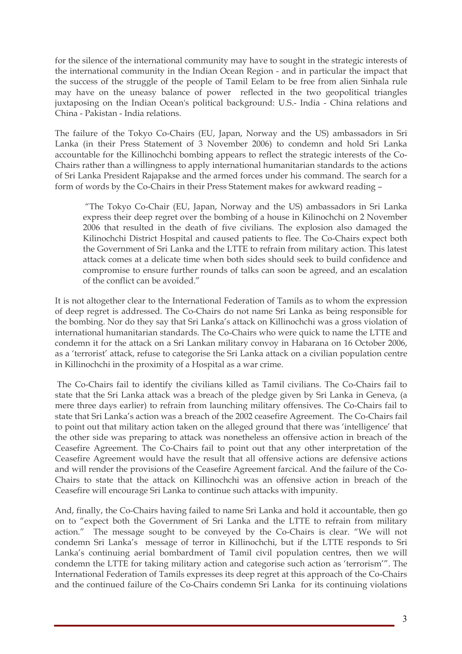for the silence of the international community may have to sought in the strategic interests of the international community in the Indian Ocean Region - and in particular the impact that the success of the struggle of the people of Tamil Eelam to be free from alien Sinhala rule may have on the uneasy balance of power reflected in the two geopolitical triangles juxtaposing on the Indian Ocean's political background: U.S.- India - China relations and China - Pakistan - India relations.

The failure of the Tokyo Co-Chairs (EU, Japan, Norway and the US) ambassadors in Sri Lanka (in their Press Statement of 3 November 2006) to condemn and hold Sri Lanka accountable for the Killinochchi bombing appears to reflect the strategic interests of the Co-Chairs rather than a willingness to apply international humanitarian standards to the actions of Sri Lanka President Rajapakse and the armed forces under his command. The search for a form of words by the Co-Chairs in their Press Statement makes for awkward reading –

 "The Tokyo Co-Chair (EU, Japan, Norway and the US) ambassadors in Sri Lanka express their deep regret over the bombing of a house in Kilinochchi on 2 November 2006 that resulted in the death of five civilians. The explosion also damaged the Kilinochchi District Hospital and caused patients to flee. The Co-Chairs expect both the Government of Sri Lanka and the LTTE to refrain from military action. This latest attack comes at a delicate time when both sides should seek to build confidence and compromise to ensure further rounds of talks can soon be agreed, and an escalation of the conflict can be avoided."

It is not altogether clear to the International Federation of Tamils as to whom the expression of deep regret is addressed. The Co-Chairs do not name Sri Lanka as being responsible for the bombing. Nor do they say that Sri Lanka's attack on Killinochchi was a gross violation of international humanitarian standards. The Co-Chairs who were quick to name the LTTE and condemn it for the attack on a Sri Lankan military convoy in Habarana on 16 October 2006, as a 'terrorist' attack, refuse to categorise the Sri Lanka attack on a civilian population centre in Killinochchi in the proximity of a Hospital as a war crime.

 The Co-Chairs fail to identify the civilians killed as Tamil civilians. The Co-Chairs fail to state that the Sri Lanka attack was a breach of the pledge given by Sri Lanka in Geneva, (a mere three days earlier) to refrain from launching military offensives. The Co-Chairs fail to state that Sri Lanka's action was a breach of the 2002 ceasefire Agreement. The Co-Chairs fail to point out that military action taken on the alleged ground that there was 'intelligence' that the other side was preparing to attack was nonetheless an offensive action in breach of the Ceasefire Agreement. The Co-Chairs fail to point out that any other interpretation of the Ceasefire Agreement would have the result that all offensive actions are defensive actions and will render the provisions of the Ceasefire Agreement farcical. And the failure of the Co-Chairs to state that the attack on Killinochchi was an offensive action in breach of the Ceasefire will encourage Sri Lanka to continue such attacks with impunity.

And, finally, the Co-Chairs having failed to name Sri Lanka and hold it accountable, then go on to "expect both the Government of Sri Lanka and the LTTE to refrain from military action." The message sought to be conveyed by the Co-Chairs is clear. "We will not condemn Sri Lanka's message of terror in Killinochchi, but if the LTTE responds to Sri Lanka's continuing aerial bombardment of Tamil civil population centres, then we will condemn the LTTE for taking military action and categorise such action as 'terrorism'". The International Federation of Tamils expresses its deep regret at this approach of the Co-Chairs and the continued failure of the Co-Chairs condemn Sri Lanka for its continuing violations